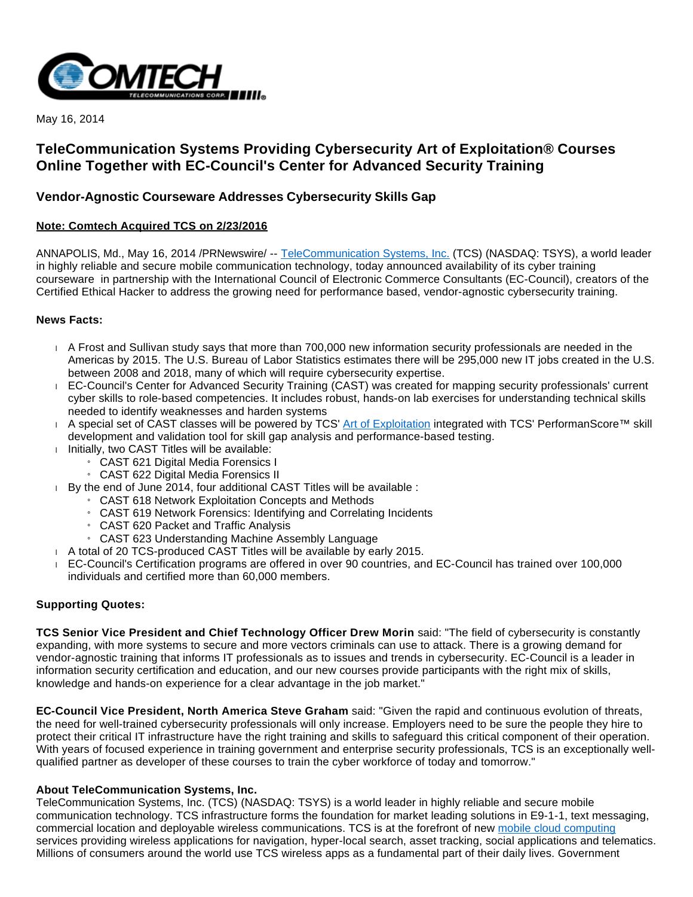

May 16, 2014

# **TeleCommunication Systems Providing Cybersecurity Art of Exploitation® Courses Online Together with EC-Council's Center for Advanced Security Training**

## **Vendor-Agnostic Courseware Addresses Cybersecurity Skills Gap**

### **Note: Comtech Acquired TCS on 2/23/2016**

ANNAPOLIS, Md., May 16, 2014 /PRNewswire/ -- [TeleCommunication Systems, Inc.](http://www.telecomsys.com/) (TCS) (NASDAQ: TSYS), a world leader in highly reliable and secure mobile communication technology, today announced availability of its cyber training courseware in partnership with the International Council of Electronic Commerce Consultants (EC-Council), creators of the Certified Ethical Hacker to address the growing need for performance based, vendor-agnostic cybersecurity training.

### **News Facts:**

- A Frost and Sullivan study says that more than 700,000 new information security professionals are needed in the Americas by 2015. The U.S. Bureau of Labor Statistics estimates there will be 295,000 new IT jobs created in the U.S. between 2008 and 2018, many of which will require cybersecurity expertise.
- EC-Council's Center for Advanced Security Training (CAST) was created for mapping security professionals' current cyber skills to role-based competencies. It includes robust, hands-on lab exercises for understanding technical skills needed to identify weaknesses and harden systems
- A special set of CAST classes will be powered by TCS' [Art of Exploitation](http://www.artofexploitation.com/) integrated with TCS' PerformanScore™ skill development and validation tool for skill gap analysis and performance-based testing.  $\blacksquare$  Initially, two CAST Titles will be available:
	- » CAST 621 Digital Media Forensics I
		- » CAST 622 Digital Media Forensics II
	-
- By the end of June 2014, four additional CAST Titles will be available :
	- » CAST 618 Network Exploitation Concepts and Methods
	- » CAST 619 Network Forensics: Identifying and Correlating Incidents
	- » CAST 620 Packet and Traffic Analysis
	- » CAST 623 Understanding Machine Assembly Language
- A total of 20 TCS-produced CAST Titles will be available by early 2015.
- EC-Council's Certification programs are offered in over 90 countries, and EC-Council has trained over 100,000 individuals and certified more than 60,000 members.

### **Supporting Quotes:**

**TCS Senior Vice President and Chief Technology Officer Drew Morin** said: "The field of cybersecurity is constantly expanding, with more systems to secure and more vectors criminals can use to attack. There is a growing demand for vendor-agnostic training that informs IT professionals as to issues and trends in cybersecurity. EC-Council is a leader in information security certification and education, and our new courses provide participants with the right mix of skills, knowledge and hands-on experience for a clear advantage in the job market."

**EC-Council Vice President, North America Steve Graham** said: "Given the rapid and continuous evolution of threats, the need for well-trained cybersecurity professionals will only increase. Employers need to be sure the people they hire to protect their critical IT infrastructure have the right training and skills to safeguard this critical component of their operation. With years of focused experience in training government and enterprise security professionals, TCS is an exceptionally wellqualified partner as developer of these courses to train the cyber workforce of today and tomorrow."

### **About TeleCommunication Systems, Inc.**

TeleCommunication Systems, Inc. (TCS) (NASDAQ: TSYS) is a world leader in highly reliable and secure mobile communication technology. TCS infrastructure forms the foundation for market leading solutions in E9-1-1, text messaging, commercial location and deployable wireless communications. TCS is at the forefront of new [mobile cloud computing](http://www.telecomsys.com/) services providing wireless applications for navigation, hyper-local search, asset tracking, social applications and telematics. Millions of consumers around the world use TCS wireless apps as a fundamental part of their daily lives. Government